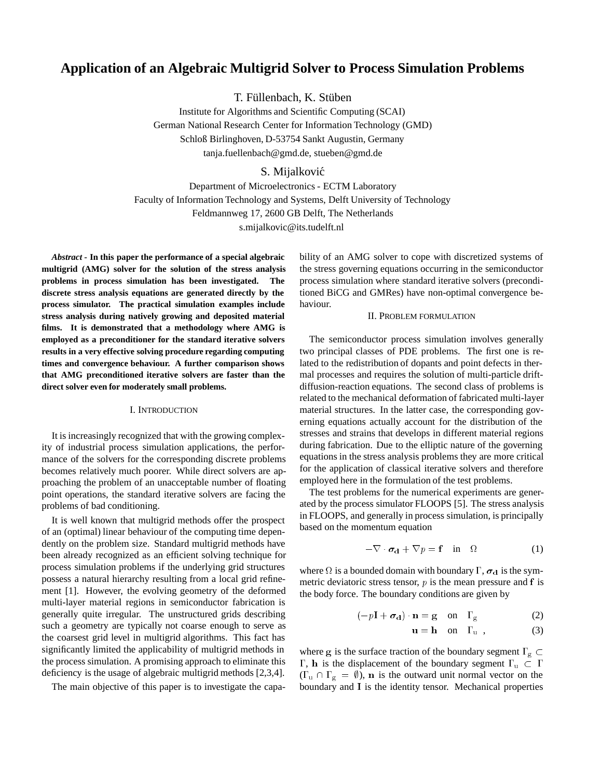# **Application of an Algebraic Multigrid Solver to Process Simulation Problems**

T. Füllenbach, K. Stüben

Institute for Algorithms and Scientific Computing (SCAI) German National Research Center for Information Technology (GMD) Schloß Birlinghoven, D-53754 Sankt Augustin, Germany tanja.fuellenbach@gmd.de, stueben@gmd.de

## S. Mijalković

Department of Microelectronics - ECTM Laboratory Faculty of Information Technology and Systems, Delft University of Technology Feldmannweg 17, 2600 GB Delft, The Netherlands s.mijalkovic@its.tudelft.nl

*Abstract* **- In this paper the performance of a special algebraic multigrid (AMG) solver for the solution of the stress analysis problems in process simulation has been investigated. The discrete stress analysis equations are generated directly by the process simulator. The practical simulation examples include stress analysis during natively growing and deposited material films. It is demonstrated that a methodology where AMG is employed as a preconditioner for the standard iterative solvers results in a very effective solving procedure regarding computing times and convergence behaviour. A further comparison shows that AMG preconditioned iterative solvers are faster than the direct solver even for moderately small problems.**

## I. INTRODUCTION

It is increasingly recognized that with the growing complexity of industrial process simulation applications, the performance of the solvers for the corresponding discrete problems becomes relatively much poorer. While direct solvers are approaching the problem of an unacceptable number of floating point operations, the standard iterative solvers are facing the problems of bad conditioning.

It is well known that multigrid methods offer the prospect of an (optimal) linear behaviour of the computing time dependently on the problem size. Standard multigrid methods have been already recognized as an efficient solving technique for process simulation problems if the underlying grid structures possess a natural hierarchy resulting from a local grid refinement [1]. However, the evolving geometry of the deformed multi-layer material regions in semiconductor fabrication is generally quite irregular. The unstructured grids describing such a geometry are typically not coarse enough to serve as the coarsest grid level in multigrid algorithms. This fact has significantly limited the applicability of multigrid methods in the process simulation. A promising approach to eliminate this deficiency is the usage of algebraic multigrid methods [2,3,4].

The main objective of this paper is to investigate the capa-

bility of an AMG solver to cope with discretized systems of the stress governing equations occurring in the semiconductor process simulation where standard iterative solvers (preconditioned BiCG and GMRes) have non-optimal convergence behaviour.

#### II. PROBLEM FORMULATION

The semiconductor process simulation involves generally two principal classes of PDE problems. The first one is related to the redistribution of dopants and point defects in thermal processes and requires the solution of multi-particle driftdiffusion-reaction equations. The second class of problems is related to the mechanical deformation of fabricated multi-layer material structures. In the latter case, the corresponding governing equations actually account for the distribution of the stresses and strains that develops in different material regions during fabrication. Due to the elliptic nature of the governing equations in the stress analysis problems they are more critical for the application of classical iterative solvers and therefore employed here in the formulation of the test problems.

The test problems for the numerical experiments are generated by the process simulator FLOOPS [5]. The stress analysis in FLOOPS, and generally in process simulation, is principally based on the momentum equation

$$
-\nabla \cdot \boldsymbol{\sigma}_{d} + \nabla p = \mathbf{f} \quad \text{in} \quad \Omega \tag{1}
$$

where  $\Omega$  is a bounded domain with boundary  $\Gamma$ ,  $\sigma_d$  is the symmetric deviatoric stress tensor,  $p$  is the mean pressure and  $f$  is the body force. The boundary conditions are given by

$$
(-p\mathbf{I} + \boldsymbol{\sigma}_d) \cdot \mathbf{n} = \mathbf{g} \quad \text{on} \quad \Gamma_{\mathbf{g}} \tag{2}
$$

$$
\mathbf{u} = \mathbf{h} \quad \text{on} \quad \Gamma_{\mathbf{u}} \tag{3}
$$

where g is the surface traction of the boundary segment  $\Gamma_{\rm g} \subset$  $\Gamma$ , h is the displacement of the boundary segment  $\Gamma_u \subset \Gamma$  $(\Gamma_u \cap \Gamma_g = \emptyset)$ , **n** is the outward unit normal vector on the boundary and <sup>I</sup> is the identity tensor. Mechanical properties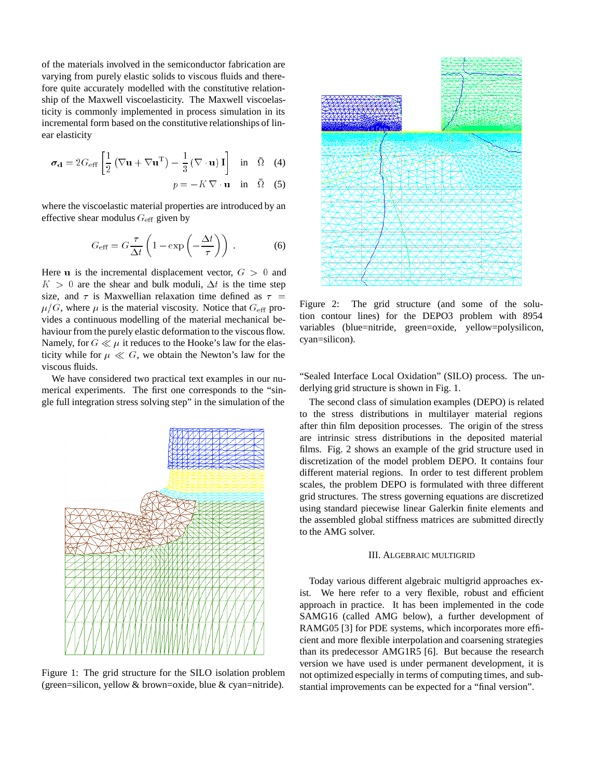of the materials involved in the semiconductor fabrication are varying from purely elastic solids to viscous fluids and therefore quite accurately modelled with the constitutive relationship of the Maxwell viscoelasticity. The Maxwell viscoelasticity is commonly implemented in process simulation in its incremental form based on the constitutive relationships of linear elasticity

$$
\boldsymbol{\sigma}_{\mathbf{d}} = 2G_{\text{eff}} \left[ \frac{1}{2} \left( \nabla \mathbf{u} + \nabla \mathbf{u}^{\text{T}} \right) - \frac{1}{3} \left( \nabla \cdot \mathbf{u} \right) \mathbf{I} \right] \text{ in } \bar{\Omega} \quad (4)
$$

$$
p = -K \nabla \cdot \mathbf{u} \quad \text{in} \quad \Omega \quad (5)
$$

where the viscoelastic material properties are introduced by an effective shear modulus  $G_{\text{eff}}$  given by

$$
G_{\text{eff}} = G \frac{\tau}{\Delta t} \left( 1 - \exp \left( -\frac{\Delta t}{\tau} \right) \right) \,. \tag{6}
$$

Here u is the incremental displacement vector,  $G > 0$  and  $K > 0$  are the shear and bulk moduli,  $\Delta t$  is the time step size, and  $\tau$  is Maxwellian relaxation time defined as  $\tau = u/C$  where u is the material viscosity. Notice that  $C = \text{pre}$  Figure 2:  $\mu/G$ , where  $\mu$  is the material viscosity. Notice that  $G_{\text{eff}}$  provides a continuous modelling of the material mechanical behaviour from the purely elastic deformation to the viscous flow. Namely, for  $G \ll \mu$  it reduces to the Hooke's law for the elasticity while for  $\mu \ll G$ , we obtain the Newton's law for the viscous fluids.

We have considered two practical text examples in our numerical experiments. The first one corresponds to the "single full integration stress solving step" in the simulation of the



Figure 1: The grid structure for the SILO isolation problem (green=silicon, yellow & brown=oxide, blue & cyan=nitride).



The grid structure (and some of the solution contour lines) for the DEPO3 problem with 8954 variables (blue=nitride, green=oxide, yellow=polysilicon, cyan=silicon).

"Sealed Interface Local Oxidation" (SILO) process. The underlying grid structure is shown in Fig. 1.

The second class of simulation examples (DEPO) is related to the stress distributions in multilayer material regions after thin film deposition processes. The origin of the stress are intrinsic stress distributions in the deposited material films. Fig. 2 shows an example of the grid structure used in discretization of the model problem DEPO. It contains four different material regions. In order to test different problem scales, the problem DEPO is formulated with three different grid structures. The stress governing equations are discretized using standard piecewise linear Galerkin finite elements and the assembled global stiffness matrices are submitted directly to the AMG solver.

## III. ALGEBRAIC MULTIGRID

Today various different algebraic multigrid approaches exist. We here refer to a very flexible, robust and efficient approach in practice. It has been implemented in the code SAMG16 (called AMG below), a further development of RAMG05 [3] for PDE systems, which incorporates more efficient and more flexible interpolation and coarsening strategies than its predecessor AMG1R5 [6]. But because the research version we have used is under permanent development, it is not optimized especially in terms of computing times, and substantial improvements can be expected for a "final version".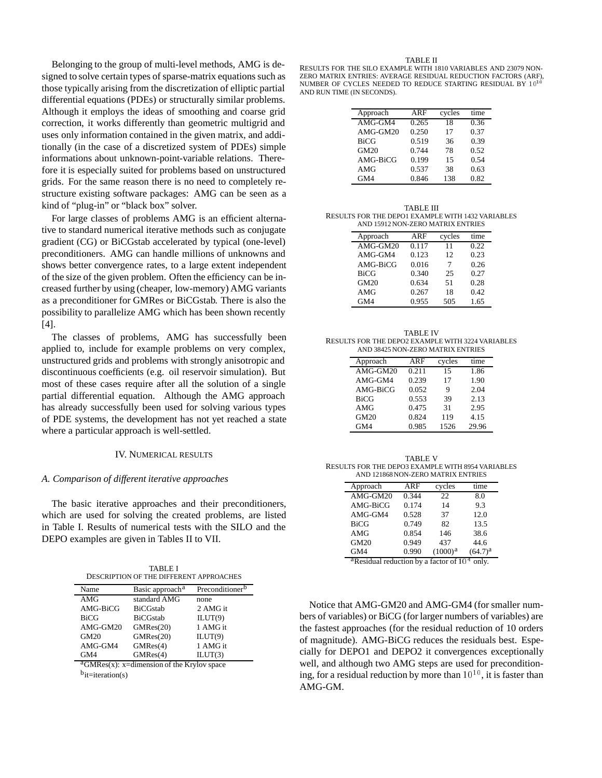Belonging to the group of multi-level methods, AMG is designed to solve certain types of sparse-matrix equations such as those typically arising from the discretization of elliptic partial differential equations (PDEs) or structurally similar problems. Although it employs the ideas of smoothing and coarse grid correction, it works differently than geometric multigrid and uses only information contained in the given matrix, and additionally (in the case of a discretized system of PDEs) simple informations about unknown-point-variable relations. Therefore it is especially suited for problems based on unstructured grids. For the same reason there is no need to completely restructure existing software packages: AMG can be seen as a kind of "plug-in" or "black box" solver.

For large classes of problems AMG is an efficient alternative to standard numerical iterative methods such as conjugate gradient (CG) or BiCGstab accelerated by typical (one-level) preconditioners. AMG can handle millions of unknowns and shows better convergence rates, to a large extent independent of the size of the given problem. Often the efficiency can be increased further by using (cheaper, low-memory) AMG variants as a preconditioner for GMRes or BiCGstab. There is also the possibility to parallelize AMG which has been shown recently [4].

The classes of problems, AMG has successfully been applied to, include for example problems on very complex, unstructured grids and problems with strongly anisotropic and discontinuous coefficients (e.g. oil reservoir simulation). But most of these cases require after all the solution of a single partial differential equation. Although the AMG approach has already successfully been used for solving various types of PDE systems, the development has not yet reached a state where a particular approach is well-settled.

### IV. NUMERICAL RESULTS

#### *A. Comparison of different iterative approaches*

The basic iterative approaches and their preconditioners, which are used for solving the created problems, are listed in Table I. Results of numerical tests with the SILO and the DEPO examples are given in Tables II to VII.

TABLE I DESCRIPTION OF THE DIFFERENT APPROACHES

| Name        | Basic approach <sup>a</sup>                               | Preconditioner <sup>b</sup> |
|-------------|-----------------------------------------------------------|-----------------------------|
| AMG         | standard AMG                                              | none                        |
| AMG-BiCG    | <b>BiCGstab</b>                                           | 2 AMG it                    |
| <b>BiCG</b> | <b>BiCGstab</b>                                           | ILUT(9)                     |
| AMG-GM20    | GMRes(20)                                                 | 1 AMG it                    |
| GM20        | GMRes(20)                                                 | ILUT(9)                     |
| AMG-GM4     | GMRes(4)                                                  | 1 AMG it                    |
| GM4         | GMRes(4)                                                  | ILUT(3)                     |
| $2010^{-7}$ | $\mathbf{r}$ , $\mathbf{r}$ , $\mathbf{r}$ , $\mathbf{r}$ |                             |

 ${}^{\text{a}}$ GMRes(x): x=dimension of the Krylov space

 $b_{it=iteration(s)}$ 

#### TABLE II

RESULTS FOR THE SILO EXAMPLE WITH 1810 VARIABLES AND 23079 NON-ZERO MATRIX ENTRIES: AVERAGE RESIDUAL REDUCTION FACTORS (ARF), NUMBER OF CYCLES NEEDED TO REDUCE STARTING RESIDUAL BY  $10^{10}$ AND RUN TIME (IN SECONDS).

| Approach    | ARF   | cycles | time |
|-------------|-------|--------|------|
| AMG-GM4     | 0.265 | 18     | 0.36 |
| AMG-GM20    | 0.250 | 17     | 0.37 |
| <b>BiCG</b> | 0.519 | 36     | 0.39 |
| <b>GM20</b> | 0.744 | 78     | 0.52 |
| AMG-BiCG    | 0.199 | 15     | 0.54 |
| AMG         | 0.537 | 38     | 0.63 |
| GM4         | 0.846 | 138    | 0.82 |

TABLE III RESULTS FOR THE DEPO1 EXAMPLE WITH 1432 VARIABLES AND 15912 NON-ZERO MATRIX ENTRIES

| Approach    | ARF   | cycles | time |
|-------------|-------|--------|------|
| AMG-GM20    | 0.117 | 11     | 0.22 |
| AMG-GM4     | 0.123 | 12     | 0.23 |
| AMG-BiCG    | 0.016 | 7      | 0.26 |
| <b>BiCG</b> | 0.340 | 25     | 0.27 |
| <b>GM20</b> | 0.634 | 51     | 0.28 |
| AMG         | 0.267 | 18     | 0.42 |
| GM4         | 0.955 | 505    | 1.65 |

| <b>TABLE IV</b>                                   |
|---------------------------------------------------|
| RESULTS FOR THE DEPO2 EXAMPLE WITH 3224 VARIABLES |
| AND 38425 NON-ZERO MATRIX ENTRIES                 |

| Approach    | ARF   | cycles | time  |
|-------------|-------|--------|-------|
| AMG-GM20    | 0.211 | 15     | 1.86  |
| AMG-GM4     | 0.239 | 17     | 1.90  |
| AMG-BiCG    | 0.052 | 9      | 2.04  |
| <b>BiCG</b> | 0.553 | 39     | 2.13  |
| AMG         | 0.475 | 31     | 2.95  |
| <b>GM20</b> | 0.824 | 119    | 4.15  |
| GM4         | 0.985 | 1526   | 29.96 |

| TABLE V                                           |
|---------------------------------------------------|
| RESULTS FOR THE DEPO3 EXAMPLE WITH 8954 VARIABLES |
| AND 121868 NON-ZERO MATRIX ENTRIES                |

| Approach    | ARF   | cycles              | time         |
|-------------|-------|---------------------|--------------|
| AMG-GM20    | 0.344 | 22                  | 8.0          |
| AMG-BiCG    | 0.174 | 14                  | 9.3          |
| AMG-GM4     | 0.528 | 37                  | 12.0         |
| <b>BiCG</b> | 0.749 | 82                  | 13.5         |
| AMG         | 0.854 | 146                 | 38.6         |
| <b>GM20</b> | 0.949 | 437                 | 44.6         |
| GM4         | 0.990 | (1000) <sup>a</sup> | $(64.7)^{a}$ |

<sup>a</sup>Residual reduction by a factor of  $10<sup>4</sup>$  only.

Notice that AMG-GM20 and AMG-GM4 (for smaller numbers of variables) or BiCG (for larger numbers of variables) are the fastest approaches (for the residual reduction of 10 orders of magnitude). AMG-BiCG reduces the residuals best. Especially for DEPO1 and DEPO2 it convergences exceptionally well, and although two AMG steps are used for preconditioning, for a residual reduction by more than  $10^{10}$ , it is faster than AMG-GM.